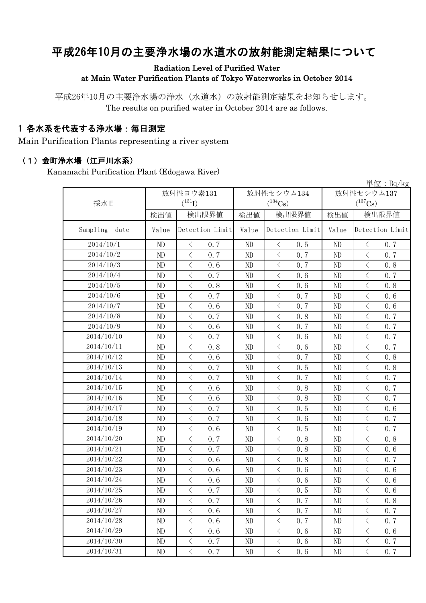# 平成26年10月の主要浄水場の水道水の放射能測定結果について

#### Radiation Level of Purified Water at Main Water Purification Plants of Tokyo Waterworks in October 2014

平成26年10月の主要浄水場の浄水(水道水)の放射能測定結果をお知らせします。 The results on purified water in October 2014 are as follows.

### 1 各水系を代表する浄水場:毎日測定

Main Purification Plants representing a river system

#### (1)金町浄水場(江戸川水系)

Kanamachi Purification Plant (Edogawa River)

|                  |          |                                                 |          |                                                 |          | 単位: $Bq/kg$                                     |
|------------------|----------|-------------------------------------------------|----------|-------------------------------------------------|----------|-------------------------------------------------|
|                  |          | 放射性ヨウ素131                                       |          | 放射性セシウム134                                      |          | 放射性セシウム137                                      |
| 採水日              |          | $(^{131}I)$                                     |          | $(^{134}Cs)$                                    |          | $(^{137}Cs)$                                    |
|                  | 検出値      | 検出限界値                                           | 検出値      | 検出限界値                                           | 検出値      | 検出限界値                                           |
| Sampling<br>date | Value    | Detection Limit                                 | Value    | Detection Limit                                 | Value    | Detection Limit                                 |
| 2014/10/1        | ND       | 0.7<br>$\langle$                                | ND       | 0.5<br>$\lt$                                    | ND       | 0.7<br>$\lt$                                    |
| 2014/10/2        | ND       | $\,$ $\,$ $\,$<br>0.7                           | ND       | $\lt$<br>0.7                                    | ND       | $\lt$<br>0.7                                    |
| 2014/10/3        | ND       | $\,$ $\,$ $\,$<br>0.6                           | ND       | $\langle$<br>0.7                                | ND       | $\langle$<br>0.8                                |
| 2014/10/4        | ND       | $\langle$<br>0.7                                | ND       | $\,$ $\,$ $\,$<br>0.6                           | ND       | $\langle$<br>0.7                                |
| 2014/10/5        | ND       | $\langle$<br>0.8                                | ND       | $\lt$<br>0.6                                    | ND       | $\langle$<br>0.8                                |
| 2014/10/6        | ND       | $\langle$<br>0.7                                | ND       | $\lt$<br>0.7                                    | ND       | $\langle$<br>0.6                                |
| 2014/10/7        | ND       | $\,$ $\,$ $\,$<br>0.6                           | ND       | $\langle$<br>0.7                                | ND       | $\lt$<br>0.6                                    |
| 2014/10/8        | ND       | $\langle$<br>0.7                                | ND       | $\overline{\left\langle \right\rangle }$<br>0.8 | ND       | $\langle$<br>0.7                                |
| 2014/10/9        | ND       | $\langle$<br>0.6                                | $\rm ND$ | $\langle$<br>0.7                                | ND       | $\langle$<br>0.7                                |
| 2014/10/10       | ND       | $\langle$<br>0.7                                | ND       | $\lt$<br>0.6                                    | ND       | $\langle$<br>0.7                                |
| 2014/10/11       | ND       | $\langle$<br>0.8                                | ND       | $\lt$<br>0.6                                    | ND       | 0.7<br>$\lt$                                    |
| 2014/10/12       | ND       | $\langle$<br>0.6                                | ND       | $\, \big\langle \,$<br>0.7                      | ND       | $\overline{\left\langle \right\rangle }$<br>0.8 |
| 2014/10/13       | ND       | $\langle$<br>0.7                                | ND       | $\langle$<br>0.5                                | ND       | $\langle$<br>0.8                                |
| 2014/10/14       | ND       | $\langle$<br>0.7                                | ND       | $\langle$<br>0.7                                | ND       | $\langle$<br>0.7                                |
| 2014/10/15       | ND       | $\langle$<br>0.6                                | ND       | $\lt$<br>0.8                                    | ND       | $\lt$<br>0.7                                    |
| 2014/10/16       | ND       | $\langle$<br>0.6                                | ND       | $\langle$<br>0.8                                | ND       | 0.7<br>$\langle$                                |
| 2014/10/17       | ND       | $\langle$<br>0.7                                | ND       | $\langle$<br>0.5                                | ND       | $\langle$<br>0.6                                |
| 2014/10/18       | ND       | $\langle$<br>0.7                                | ND       | $\lt$<br>0.6                                    | ND       | $\langle$<br>0.7                                |
| 2014/10/19       | ND       | $\,$ $\,$ $\,$<br>0.6                           | ND       | $\langle$<br>0.5                                | ND       | $\langle$<br>0.7                                |
| 2014/10/20       | ND       | $\,$ $\,$ $\,$<br>0.7                           | ND       | $\lt$<br>0.8                                    | ND       | $\lt$<br>0.8                                    |
| 2014/10/21       | ND       | $\langle$<br>0.7                                | ND       | $\langle$<br>0.8                                | ND       | $\langle$<br>0.6                                |
| 2014/10/22       | ND       | $\langle$<br>0.6                                | ND       | $\langle$<br>0.8                                | ND       | $\langle$<br>0.7                                |
| 2014/10/23       | ND       | $\,$ $\,$ $\,$<br>0.6                           | ND       | $\lt$<br>0.6                                    | ND       | $\lt$<br>0.6                                    |
| 2014/10/24       | ND       | $\, < \,$<br>0.6                                | ND       | $\langle$<br>0.6                                | ND       | $\lt$<br>0.6                                    |
| 2014/10/25       | ND       | $\overline{\left\langle \right\rangle }$<br>0.7 | ND       | $\,$ $\,$ $\,$<br>0.5                           | ND       | $\langle$<br>0.6                                |
| 2014/10/26       | $\rm ND$ | $\langle$<br>0.7                                | $\rm ND$ | 0.7<br>$\lt$                                    | $\rm ND$ | 0.8<br>$\lt$                                    |
| 2014/10/27       | ND       | $\langle$<br>0.6                                | ND       | $\overline{\left\langle \right\rangle }$<br>0.7 | ND       | $\langle$<br>0.7                                |
| 2014/10/28       | $\rm ND$ | $\lt$<br>0.6                                    | ND       | $\lt$<br>0.7                                    | ND       | $\lt$<br>0.7                                    |
| 2014/10/29       | $\rm ND$ | $\langle$<br>0.6                                | ND       | $\langle$<br>0.6                                | $\rm ND$ | $\langle$<br>0.6                                |
| 2014/10/30       | ND       | $\langle$<br>0.7                                | ND       | $\langle$<br>0.6                                | ND       | $\langle$<br>0.7                                |
| 2014/10/31       | ND       | $\langle$<br>0, 7                               | ND       | $\, \leq$<br>0.6                                | ND       | $\langle$<br>0, 7                               |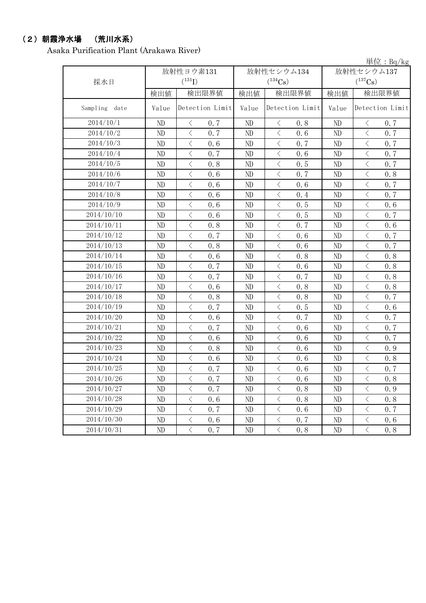## (2)朝霞浄水場 (荒川水系)

Asaka Purification Plant (Arakawa River)

|                  |          |                       |          |                       |            | 単位: Bg/kg             |  |
|------------------|----------|-----------------------|----------|-----------------------|------------|-----------------------|--|
|                  |          | 放射性ヨウ素131             |          | 放射性セシウム134            | 放射性セシウム137 |                       |  |
| 採水日              |          | $(^{131}I)$           |          | $(^{134}Cs)$          |            | $(^{137}\mathrm{Cs})$ |  |
|                  | 検出値      | 検出限界値                 | 検出値      | 検出限界値                 | 検出値        | 検出限界値                 |  |
| Sampling<br>date | Value    | Detection Limit       | Value    | Detection Limit       | Value      | Detection Limit       |  |
| 2014/10/1        | ND       | $\langle$<br>0.7      | ND       | $\lt$<br>0.8          | ND         | $\langle$<br>0.7      |  |
| 2014/10/2        | ND       | $\langle$<br>0.7      | ND       | $\langle$<br>0.6      | ND         | $\lt$<br>0.7          |  |
| 2014/10/3        | ND       | $\langle$<br>0.6      | ND       | $\langle$<br>0.7      | ND         | $\langle$<br>0.7      |  |
| 2014/10/4        | ND       | $\langle$<br>0.7      | ND       | $\langle$<br>0.6      | ND         | $\,$ $\,$ $\,$<br>0.7 |  |
| 2014/10/5        | ND       | $\langle$<br>0.8      | ND       | $\langle$<br>0.5      | ND         | $\langle$<br>0.7      |  |
| 2014/10/6        | ND       | $\langle$<br>0.6      | ND       | $\langle$<br>0.7      | ND         | $\lt$<br>0.8          |  |
| 2014/10/7        | ND       | $\,$ $\,$ $\,$<br>0.6 | ND       | $\langle$<br>0.6      | ND         | $\lt$<br>0.7          |  |
| 2014/10/8        | ND       | $\langle$<br>0.6      | ND       | $\langle$<br>0.4      | ND         | $\langle$<br>0.7      |  |
| 2014/10/9        | ND       | $\langle$<br>0.6      | ND       | $\langle$<br>0.5      | ND         | $\langle$<br>0.6      |  |
| 2014/10/10       | ND       | $\langle$<br>0.6      | ND       | $\lt$<br>0.5          | ND         | $\langle$<br>0.7      |  |
| 2014/10/11       | ND       | $\langle$<br>0.8      | ND       | $\lt$<br>0.7          | ND         | $\langle$<br>0.6      |  |
| 2014/10/12       | ND       | $\langle$<br>0.7      | ND       | $\langle$<br>0.6      | ND         | $\langle$<br>0.7      |  |
| 2014/10/13       | ND       | $\langle$<br>0.8      | ND       | $\langle$<br>0.6      | ND         | $\,$ $\,$ $\,$<br>0.7 |  |
| 2014/10/14       | ND       | $\langle$<br>0.6      | ND       | $\langle$<br>0, 8     | ND         | $\langle$<br>0.8      |  |
| 2014/10/15       | ND       | $\langle$<br>0.7      | ND       | $\lt$<br>0.6          | ND         | $\lt$<br>0.8          |  |
| 2014/10/16       | ND       | $\langle$<br>0.7      | ND       | $\langle$<br>0.7      | ND         | $\langle$<br>0.8      |  |
| 2014/10/17       | ND       | $\langle$<br>0.6      | ND       | $\langle$<br>0.8      | ND         | $\langle$<br>0.8      |  |
| 2014/10/18       | ND       | $\,$ $\,$ $\,$<br>0.8 | ND       | $\,$ $\,$ $\,$<br>0.8 | ND         | $\lt$<br>0.7          |  |
| 2014/10/19       | ND       | $\,$ $\,$ $\,$<br>0.7 | ND       | $\lt$<br>0.5          | ND         | $\lt$<br>0.6          |  |
| 2014/10/20       | ND       | $\langle$<br>0.6      | ND       | $\lt$<br>0.7          | ND         | $\langle$<br>0.7      |  |
| 2014/10/21       | ND       | $\langle$<br>0.7      | ND       | $\langle$<br>0.6      | ND         | $\langle$<br>0.7      |  |
| 2014/10/22       | ND       | $\langle$<br>0.6      | ND       | $\langle$<br>0.6      | ND         | $\langle$<br>0.7      |  |
| 2014/10/23       | ND       | $\,$ $\,$ $\,$<br>0.8 | ND       | $\lt$<br>0.6          | ND         | $\lt$<br>0.9          |  |
| 2014/10/24       | ND       | $\langle$<br>0.6      | ND       | $\langle$<br>0.6      | ND         | $\langle$<br>0.8      |  |
| 2014/10/25       | ND       | $\langle$<br>0.7      | ND       | $\langle$<br>0.6      | ND         | $\langle$<br>0.7      |  |
| 2014/10/26       | ND       | $\, \leq$<br>0.7      | $\rm ND$ | $\, < \,$<br>0.6      | $\rm ND$   | $\, \leq$<br>0.8      |  |
| 2014/10/27       | ND       | $\langle$<br>0.7      | ND       | $\langle$<br>0.8      | ND         | $\,$ $\,$ $\,$<br>0.9 |  |
| 2014/10/28       | ND       | $\big\langle$<br>0.6  | ND       | $\langle$<br>0.8      | $\rm ND$   | $\, <\,$<br>0.8       |  |
| 2014/10/29       | ND       | $\langle$<br>0.7      | ND       | $\langle$<br>0.6      | $\rm ND$   | $\langle$<br>0.7      |  |
| 2014/10/30       | ND       | $\langle$<br>0.6      | ND       | $\langle$<br>0.7      | ND         | $\langle$<br>0.6      |  |
| 2014/10/31       | $\rm ND$ | $\bigl\langle$<br>0.7 | $\rm ND$ | $\langle$<br>0.8      | ND         | $\langle$<br>0.8      |  |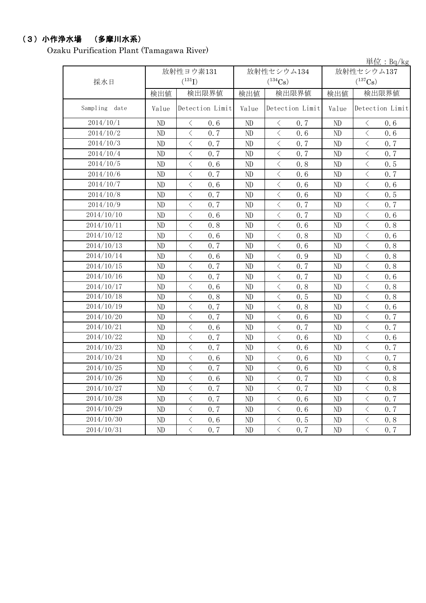## (3)小作浄水場 (多摩川水系)

Ozaku Purification Plant (Tamagawa River)

|                  |       |                       |            |                       |                                                                                                                                                                                                                    | 単位: Bg/kg             |  |  |
|------------------|-------|-----------------------|------------|-----------------------|--------------------------------------------------------------------------------------------------------------------------------------------------------------------------------------------------------------------|-----------------------|--|--|
|                  |       | 放射性ヨウ素131             | 放射性セシウム134 |                       |                                                                                                                                                                                                                    | 放射性セシウム137            |  |  |
| 採水日              |       | $(^{131}I)$           |            | $(^{134}Cs)$          |                                                                                                                                                                                                                    | $(^{137}\mathrm{Cs})$ |  |  |
|                  | 検出値   | 検出限界値                 | 検出値        | 検出限界値                 | 検出値<br>Value<br>ND<br>ND<br>ND<br>ND<br>ND<br>ND<br>ND<br>ND<br>ND<br>ND<br>ND<br>ND<br>ND<br>ND<br>ND<br>ND<br>ND<br>ND<br>ND<br>ND<br>ND<br>ND<br>ND<br>ND<br>ND<br>ND<br>$\rm ND$<br>ND<br>$\rm ND$<br>ND<br>ND | 検出限界値                 |  |  |
| Sampling<br>date | Value | Detection Limit       | Value      | Detection Limit       |                                                                                                                                                                                                                    | Detection Limit       |  |  |
| 2014/10/1        | ND    | $\langle$<br>0, 6     | ND         | $\langle$<br>0.7      |                                                                                                                                                                                                                    | $\langle$<br>0.6      |  |  |
| 2014/10/2        | ND    | $\langle$<br>0.7      | ND         | $\langle$<br>0.6      |                                                                                                                                                                                                                    | $\langle$<br>0.6      |  |  |
| 2014/10/3        | ND    | $\langle$<br>0.7      | ND         | $\langle$<br>0.7      |                                                                                                                                                                                                                    | $\langle$<br>0.7      |  |  |
| 2014/10/4        | ND    | $\langle$<br>0.7      | ND         | $\langle$<br>0.7      |                                                                                                                                                                                                                    | $\langle$<br>0.7      |  |  |
| 2014/10/5        | ND    | $\langle$<br>0.6      | ND         | $\lt$<br>0.8          |                                                                                                                                                                                                                    | $\langle$<br>0.5      |  |  |
| 2014/10/6        | ND    | $\,$ $\,$ $\,$<br>0.7 | ND         | $\langle$<br>0.6      |                                                                                                                                                                                                                    | $\langle$<br>0.7      |  |  |
| 2014/10/7        | ND    | $\langle$<br>0.6      | ND         | $\langle$<br>0.6      |                                                                                                                                                                                                                    | $\langle$<br>0.6      |  |  |
| 2014/10/8        | ND    | $\langle$<br>0.7      | ND         | $\langle$<br>0.6      |                                                                                                                                                                                                                    | $\langle$<br>0.5      |  |  |
| 2014/10/9        | ND    | $\langle$<br>0.7      | $\rm ND$   | $\langle$<br>0.7      |                                                                                                                                                                                                                    | $\langle$<br>0.7      |  |  |
| 2014/10/10       | ND    | $\langle$<br>0.6      | ND         | $\lt$<br>0.7          |                                                                                                                                                                                                                    | $\langle$<br>0.6      |  |  |
| 2014/10/11       | ND    | $\langle$<br>0.8      | $\rm ND$   | $\,$ $\,$ $\,$<br>0.6 |                                                                                                                                                                                                                    | $\langle$<br>0.8      |  |  |
| 2014/10/12       | ND    | $\langle$<br>0.6      | ND         | $\langle$<br>0.8      |                                                                                                                                                                                                                    | $\langle$<br>0.6      |  |  |
| 2014/10/13       | ND    | $\langle$<br>0.7      | ND         | $\langle$<br>0.6      |                                                                                                                                                                                                                    | $\,$ $\,$ $\,$<br>0.8 |  |  |
| 2014/10/14       | ND    | $\langle$<br>0.6      | ND         | $\langle$<br>0.9      |                                                                                                                                                                                                                    | $\langle$<br>0.8      |  |  |
| 2014/10/15       | ND    | $\langle$<br>0.7      | ND         | $\lt$<br>0.7          |                                                                                                                                                                                                                    | $\lt$<br>0.8          |  |  |
| 2014/10/16       | ND    | $\langle$<br>0.7      | ND         | $\langle$<br>0.7      |                                                                                                                                                                                                                    | $\langle$<br>0.6      |  |  |
| 2014/10/17       | ND    | $\langle$<br>0.6      | ND         | $\langle$<br>0.8      |                                                                                                                                                                                                                    | $\langle$<br>0.8      |  |  |
| 2014/10/18       | ND    | $\,$ $\,$ $\,$<br>0.8 | ND         | $\,$ $\,$ $\,$<br>0.5 |                                                                                                                                                                                                                    | $\langle$<br>0.8      |  |  |
| 2014/10/19       | ND    | $\langle$<br>0.7      | ND         | $\langle$<br>0.8      |                                                                                                                                                                                                                    | $\,$ $\,$ $\,$<br>0.6 |  |  |
| 2014/10/20       | ND    | $\langle$<br>0.7      | ND         | $\langle$<br>0.6      |                                                                                                                                                                                                                    | $\langle$<br>0.7      |  |  |
| 2014/10/21       | ND    | $\langle$<br>0.6      | ND         | $\langle$<br>0.7      |                                                                                                                                                                                                                    | $\langle$<br>0.7      |  |  |
| 2014/10/22       | ND    | $\langle$<br>0.7      | ND         | $\langle$<br>0.6      |                                                                                                                                                                                                                    | $\langle$<br>0.6      |  |  |
| 2014/10/23       | ND    | $\langle$<br>0.7      | ND         | $\langle$<br>0.6      |                                                                                                                                                                                                                    | $\langle$<br>0.7      |  |  |
| 2014/10/24       | ND    | $\langle$<br>0.6      | ND         | $\langle$<br>0.6      |                                                                                                                                                                                                                    | $\langle$<br>0.7      |  |  |
| 2014/10/25       | ND    | $\langle$<br>0.7      | ND         | $\langle$<br>0.6      |                                                                                                                                                                                                                    | $\langle$<br>0.8      |  |  |
| 2014/10/26       | ND    | $\langle$<br>0.6      | ND         | $\lt$<br>0.7          |                                                                                                                                                                                                                    | $\lt$<br>0.8          |  |  |
| 2014/10/27       | ND    | $\langle$<br>0.7      | ND         | $\langle$<br>0.7      |                                                                                                                                                                                                                    | $\,$ $\,$ $\,$<br>0.8 |  |  |
| 2014/10/28       | ND    | $\langle$<br>0.7      | ND         | $\langle$<br>0.6      |                                                                                                                                                                                                                    | $\langle$<br>0.7      |  |  |
| 2014/10/29       | ND    | $\langle$<br>0.7      | ND         | $\langle$<br>0.6      |                                                                                                                                                                                                                    | $\langle$<br>0.7      |  |  |
| 2014/10/30       | ND    | $\langle$<br>0.6      | ND         | $\langle$<br>0.5      |                                                                                                                                                                                                                    | $\langle$<br>0.8      |  |  |
| 2014/10/31       | ND    | $\langle$<br>0, 7     | ND         | $\langle$<br>0, 7     |                                                                                                                                                                                                                    | $\langle$<br>0, 7     |  |  |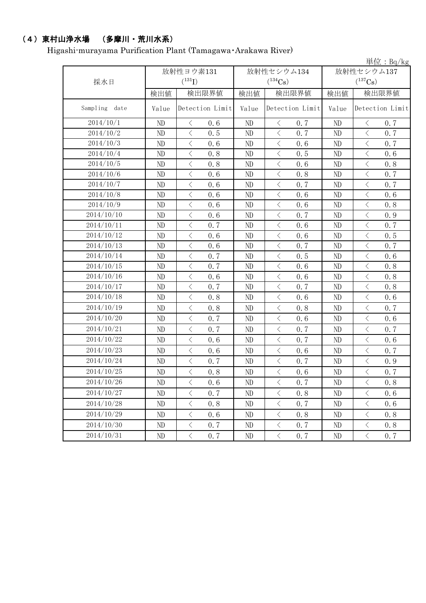# (4)東村山浄水場 (多摩川・荒川水系)

Higashi-murayama Purification Plant (Tamagawa・Arakawa River)

|                  |          |                      |                 |          |                             |                 |                |                                                                                                                                                                                                                                                                                                                                                                                                                                                                                                                                                                                                                                           | 単位: $Bq/kg$     |  |
|------------------|----------|----------------------|-----------------|----------|-----------------------------|-----------------|----------------|-------------------------------------------------------------------------------------------------------------------------------------------------------------------------------------------------------------------------------------------------------------------------------------------------------------------------------------------------------------------------------------------------------------------------------------------------------------------------------------------------------------------------------------------------------------------------------------------------------------------------------------------|-----------------|--|
|                  |          | 放射性ヨウ素131            |                 |          | 放射性セシウム134                  |                 |                | 放射性セシウム137                                                                                                                                                                                                                                                                                                                                                                                                                                                                                                                                                                                                                                |                 |  |
| 採水日              |          | $({}^{131}\text{I})$ |                 |          | $(^{134}Cs)$                |                 |                | $(^{137}Cs)$                                                                                                                                                                                                                                                                                                                                                                                                                                                                                                                                                                                                                              |                 |  |
|                  | 検出値      |                      | 検出限界値           | 検出値      |                             | 検出限界値           | 検出値            |                                                                                                                                                                                                                                                                                                                                                                                                                                                                                                                                                                                                                                           | 検出限界値           |  |
| Sampling<br>date | Value    |                      | Detection Limit | Value    |                             | Detection Limit | Value          |                                                                                                                                                                                                                                                                                                                                                                                                                                                                                                                                                                                                                                           | Detection Limit |  |
| 2014/10/1        | ND       | $\langle$            | 0.6             | ND       | $\lt$                       | 0.7             | ND             | $\langle$                                                                                                                                                                                                                                                                                                                                                                                                                                                                                                                                                                                                                                 | 0.7             |  |
| 2014/10/2        | ND       | $\langle$            | 0.5             | ND       | $\, \big\langle \,$         | 0.7             | ND             | $\langle$                                                                                                                                                                                                                                                                                                                                                                                                                                                                                                                                                                                                                                 | 0.7             |  |
| 2014/10/3        | ND       | $\langle$            | 0.6             | ND       | $\langle$                   | 0.6             | ND             | $\langle$                                                                                                                                                                                                                                                                                                                                                                                                                                                                                                                                                                                                                                 | 0.7             |  |
| 2014/10/4        | ND       | $\,$ $\,$ $\,$       | 0.8             | ND       | $\langle$                   | 0.5             | ND             | $\langle$                                                                                                                                                                                                                                                                                                                                                                                                                                                                                                                                                                                                                                 | 0.6             |  |
| 2014/10/5        | ND       | $\langle$            | 0.8             | ND       | $\langle$                   | 0.6             | ND             | $\langle$                                                                                                                                                                                                                                                                                                                                                                                                                                                                                                                                                                                                                                 | 0.8             |  |
| 2014/10/6        | ND       | $\,$ $\,$ $\,$       | 0.6             | ND       | $\langle$                   | 0.8             | ND             | $\,$ $\,$ $\,$                                                                                                                                                                                                                                                                                                                                                                                                                                                                                                                                                                                                                            | 0.7             |  |
| 2014/10/7        | ND       | $\lt$                | 0.6             | ND       | $\langle$                   | 0.7             | ND             | $\, <\,$                                                                                                                                                                                                                                                                                                                                                                                                                                                                                                                                                                                                                                  | 0.7             |  |
| 2014/10/8        | ND       | $\langle$            | 0.6             | ND       | $\langle$                   | 0.6             | ND             | $\langle$                                                                                                                                                                                                                                                                                                                                                                                                                                                                                                                                                                                                                                 | 0.6             |  |
| 2014/10/9        | ND       | $\langle$            | 0.6             | ND       | $\langle$                   | 0.6             | ND             | $\,$ $\,$ $\,$                                                                                                                                                                                                                                                                                                                                                                                                                                                                                                                                                                                                                            | 0.8             |  |
| 2014/10/10       | ND       | $\lt$                | 0.6             | ND       | $\langle$                   | 0.7             | ND             | $\hspace{0.1mm}\mathopen{\begin{array}{c}\mathopen{\begin{array}{c}\mathopen{\frown}\mathopen{\frown}\mathopen{\frown}\mathopen{\frown}\mathopen{\frown}\mathopen{\frown}\mathopen{\frown}\mathopen{\frown}\mathopen{\frown}\mathopen{\frown}\mathopen{\frown}\mathopen{\frown}\mathopen{\frown}\mathopen{\frown}\mathopen{\frown}\mathopen{\frown}\mathopen{\frown}\mathopen{\frown}\mathopen{\frown}\mathopen{\frown}\mathopen{\frown}\mathopen{\frown}\mathopen{\frown}\mathopen{\frown}\mathopen{\frown}\mathopen{\frown}\mathopen{\frown}\mathopen{\frown}\mathopen{\frown}\mathopen{\frown}\mathopen{\frown}\mathopen{\frown}\math$ | 0.9             |  |
| 2014/10/11       | ND       | $\,$ $\,$ $\,$       | 0.7             | ND       | $\langle$                   | 0.6             | ND             | $\langle$                                                                                                                                                                                                                                                                                                                                                                                                                                                                                                                                                                                                                                 | 0.7             |  |
| 2014/10/12       | ND       | $\langle$            | 0.6             | ND       | $\langle$                   | 0.6             | ND             | $\langle$                                                                                                                                                                                                                                                                                                                                                                                                                                                                                                                                                                                                                                 | 0.5             |  |
| 2014/10/13       | ND       | $\,$ $\,$ $\,$       | 0.6             | ND       | $\langle$                   | 0.7             | ND             | $\,$ $\,$ $\,$                                                                                                                                                                                                                                                                                                                                                                                                                                                                                                                                                                                                                            | 0.7             |  |
| 2014/10/14       | ND       | $\,$ $\,$ $\,$       | 0.7             | ND       | $\langle$                   | 0.5             | N <sub>D</sub> | $\overline{\left\langle \right\rangle }$                                                                                                                                                                                                                                                                                                                                                                                                                                                                                                                                                                                                  | 0.6             |  |
| 2014/10/15       | ND       | $\lt$                | 0.7             | ND       | $\, \big\langle \,$         | 0.6             | ND             | $\lt$                                                                                                                                                                                                                                                                                                                                                                                                                                                                                                                                                                                                                                     | 0.8             |  |
| 2014/10/16       | ND       | $\langle$            | 0.6             | ND       | $\langle$                   | 0.6             | ND             | $\langle$                                                                                                                                                                                                                                                                                                                                                                                                                                                                                                                                                                                                                                 | 0.8             |  |
| 2014/10/17       | ND       | $\langle$            | 0.7             | ND       | $\langle$                   | 0.7             | ND             | $\langle$                                                                                                                                                                                                                                                                                                                                                                                                                                                                                                                                                                                                                                 | 0.8             |  |
| 2014/10/18       | ND       | $\langle$            | 0.8             | ND       | $\langle$                   | 0.6             | ND             | $\,$ $\,$ $\,$                                                                                                                                                                                                                                                                                                                                                                                                                                                                                                                                                                                                                            | 0.6             |  |
| 2014/10/19       | ND       | $\langle$            | 0.8             | $\rm ND$ | $\langle$                   | 0.8             | ND             | $\,$ $\,$ $\,$                                                                                                                                                                                                                                                                                                                                                                                                                                                                                                                                                                                                                            | 0.7             |  |
| 2014/10/20       | ND       | $\lt$                | 0.7             | ND       | $\langle$                   | 0.6             | ND             | $\langle$                                                                                                                                                                                                                                                                                                                                                                                                                                                                                                                                                                                                                                 | 0.6             |  |
| 2014/10/21       | ND       | $\langle$            | 0.7             | ND       | $\langle$                   | 0.7             | ND             | $\langle$                                                                                                                                                                                                                                                                                                                                                                                                                                                                                                                                                                                                                                 | 0.7             |  |
| 2014/10/22       | ND       | $\langle$            | 0.6             | ND       | $\langle$                   | 0.7             | ND             | $\langle$                                                                                                                                                                                                                                                                                                                                                                                                                                                                                                                                                                                                                                 | 0.6             |  |
| 2014/10/23       | ND       | $\langle$            | 0.6             | ND       | $\langle$                   | 0.6             | ND             | $\,$ $\,$ $\,$                                                                                                                                                                                                                                                                                                                                                                                                                                                                                                                                                                                                                            | 0.7             |  |
| 2014/10/24       | ND       | $\lt$                | 0.7             | ND       | $\langle$                   | 0.7             | ND             | $\langle$                                                                                                                                                                                                                                                                                                                                                                                                                                                                                                                                                                                                                                 | 0.9             |  |
| 2014/10/25       | ND       | $\langle$            | 0.8             | ND       | $\langle$                   | 0.6             | ND             | $\,$ $\,$ $\,$                                                                                                                                                                                                                                                                                                                                                                                                                                                                                                                                                                                                                            | 0.7             |  |
| 2014/10/26       | ND       | $\langle$            | 0.6             | ND       | $\langle$                   | 0.7             | ND             | $\langle$                                                                                                                                                                                                                                                                                                                                                                                                                                                                                                                                                                                                                                 | 0.8             |  |
| 2014/10/27       | $\rm ND$ | $\, \big\langle \,$  | 0.7             | ND       | $\langle$                   | 0.8             | $\rm ND$       | $\langle$                                                                                                                                                                                                                                                                                                                                                                                                                                                                                                                                                                                                                                 | 0.6             |  |
| 2014/10/28       | ND       | $\, <\,$             | 0.8             | ND       | $\hspace{0.1mm}\big\langle$ | 0.7             | ND             | $\, \leq$                                                                                                                                                                                                                                                                                                                                                                                                                                                                                                                                                                                                                                 | 0.6             |  |
| 2014/10/29       | ND       | $\, <\,$             | 0.6             | ND       | $\langle$                   | 0.8             | ND             | $\langle$                                                                                                                                                                                                                                                                                                                                                                                                                                                                                                                                                                                                                                 | 0.8             |  |
| 2014/10/30       | ND       | $\, \big\langle \,$  | 0.7             | ND       | $\langle$                   | 0.7             | ND             | $\langle$                                                                                                                                                                                                                                                                                                                                                                                                                                                                                                                                                                                                                                 | 0.8             |  |
| 2014/10/31       | $\rm ND$ | $\langle$            | 0.7             | ND       | $\langle$                   | 0.7             | ND             | $\langle$                                                                                                                                                                                                                                                                                                                                                                                                                                                                                                                                                                                                                                 | 0.7             |  |
|                  |          |                      |                 |          |                             |                 |                |                                                                                                                                                                                                                                                                                                                                                                                                                                                                                                                                                                                                                                           |                 |  |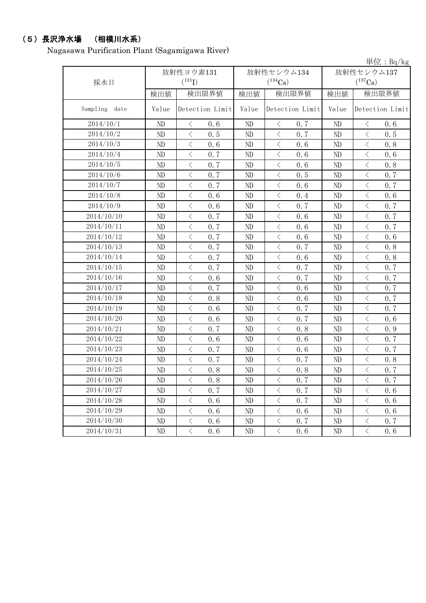# (5)長沢浄水場 (相模川水系)

Nagasawa Purification Plant (Sagamigawa River)

|                  |          |                       |          |                       |            | 単位: Bq/kg                                       |  |
|------------------|----------|-----------------------|----------|-----------------------|------------|-------------------------------------------------|--|
|                  |          | 放射性ヨウ素131             |          | 放射性セシウム134            | 放射性セシウム137 |                                                 |  |
| 採水日              |          | $(^{131}I)$           |          | $(^{134}Cs)$          |            | $(^{137}Cs)$                                    |  |
|                  | 検出値      | 検出限界値                 | 検出値      | 検出限界値                 | 検出値        | 検出限界値                                           |  |
| Sampling<br>date | Value    | Detection Limit       | Value    | Detection Limit       | Value      | Detection Limit                                 |  |
| 2014/10/1        | ND       | $\langle$<br>0.6      | ND       | $\langle$<br>0, 7     | ND         | $\langle$<br>0.6                                |  |
| 2014/10/2        | ND       | $\langle$<br>0.5      | ND       | $\langle$<br>0.7      | ND         | $\langle$<br>0.5                                |  |
| 2014/10/3        | ND       | $\langle$<br>0.6      | ND       | $\langle$<br>0.6      | ND         | $\langle$<br>0.8                                |  |
| 2014/10/4        | ND       | $\langle$<br>0.7      | ND       | $\lt$<br>0.6          | ND         | $\lt$<br>0.6                                    |  |
| 2014/10/5        | ND       | $\langle$<br>0.7      | ND       | $\langle$<br>0.6      | ND         | $\langle$<br>0.8                                |  |
| 2014/10/6        | ND       | $\langle$<br>0.7      | ND       | $\langle$<br>0.5      | ND         | $\langle$<br>0.7                                |  |
| 2014/10/7        | ND       | $\langle$<br>0.7      | ND       | $\langle$<br>0.6      | ND         | $\langle$<br>0.7                                |  |
| 2014/10/8        | ND       | $\,$ $\,$ $\,$<br>0.6 | ND       | $\langle$<br>0.4      | ND         | $\langle$<br>0.6                                |  |
| 2014/10/9        | ND       | $\,$ $\,$ $\,$<br>0.6 | ND       | $\langle$<br>0, 7     | ND         | $\langle$<br>0.7                                |  |
| 2014/10/10       | ND       | $\,$ $\,$ $\,$<br>0.7 | ND       | 0.6<br>$\langle$      | ND         | $\langle$<br>0.7                                |  |
| 2014/10/11       | ND       | $\langle$<br>0.7      | ND       | $\langle$<br>0.6      | ND         | $\langle$<br>0.7                                |  |
| 2014/10/12       | ND       | $\,$ $\,$ $\,$<br>0.7 | ND       | $\lt$<br>0.6          | ND         | $\,$ $\,$ $\,$<br>0.6                           |  |
| 2014/10/13       | ND       | $\,$ $\,$ $\,$<br>0.7 | ND       | 0.7<br>$\langle$      | ND         | $\langle$<br>0.8                                |  |
| 2014/10/14       | ND       | $\,$ $\,$ $\,$<br>0.7 | ND       | $\lt$<br>0.6          | ND         | $\lt$<br>0.8                                    |  |
| 2014/10/15       | ND       | $\langle$<br>0.7      | ND       | $\langle$<br>0.7      | ND         | $\langle$<br>0.7                                |  |
| 2014/10/16       | $\rm ND$ | $\langle$<br>0.6      | ND       | $\langle$<br>0.7      | ND         | $\langle$<br>0.7                                |  |
| 2014/10/17       | ND       | $\langle$<br>0.7      | ND       | $\lt$<br>0.6          | ND         | $\big\langle$<br>0.7                            |  |
| 2014/10/18       | ND       | $\,$ $\,$ $\,$<br>0.8 | ND       | $\,$ $\,$ $\,$<br>0.6 | ND         | $\langle$<br>0.7                                |  |
| 2014/10/19       | ND       | $\langle$<br>0.6      | ND       | $\langle$<br>0.7      | ND         | $\langle$<br>0.7                                |  |
| 2014/10/20       | ND       | $\langle$<br>0.6      | ND       | $\lt$<br>0.7          | ND         | $\langle$<br>0.6                                |  |
| 2014/10/21       | ND       | $\langle$<br>0.7      | ND       | $\langle$<br>0.8      | ND         | $\langle$<br>0.9                                |  |
| 2014/10/22       | ND       | $\langle$<br>0.6      | ND       | $\,$ $\,$ $\,$<br>0.6 | ND         | $\langle$<br>0.7                                |  |
| 2014/10/23       | ND       | $\langle$<br>0.7      | ND       | $\langle$<br>0.6      | ND         | $\langle$<br>0.7                                |  |
| 2014/10/24       | ND       | $\,$ $\,$ $\,$<br>0.7 | ND       | $\langle$<br>0.7      | ND         | $\overline{\left\langle \right\rangle }$<br>0.8 |  |
| 2014/10/25       | ND       | $\langle$<br>0.8      | ND       | $\lt$<br>0.8          | ND         | $\, \big\langle \,$<br>0.7                      |  |
| 2014/10/26       | ND       | 0.8<br>$\langle$      | ND       | 0.7<br>$\big\langle$  | ND         | $\langle$<br>0.7                                |  |
| 2014/10/27       | ND       | $\,$ $\,$ $\,$<br>0.7 | ND       | $\lt$<br>0.7          | ND         | $\langle$<br>0.6                                |  |
| 2014/10/28       | ND       | $\langle$<br>0.6      | ND       | $\langle$<br>0.7      | ND         | $\langle$<br>0.6                                |  |
| 2014/10/29       | ND       | $\langle$<br>0.6      | ND       | $\,$ $\,$ $\,$<br>0.6 | ND         | $\langle$<br>0.6                                |  |
| 2014/10/30       | ND       | $\lt$<br>0.6          | ND       | $\lt$<br>0.7          | ND         | $\lt$<br>0.7                                    |  |
| 2014/10/31       | ND       | $\langle$<br>0.6      | $\rm ND$ | $\langle$<br>0.6      | ND         | $\langle$<br>0.6                                |  |